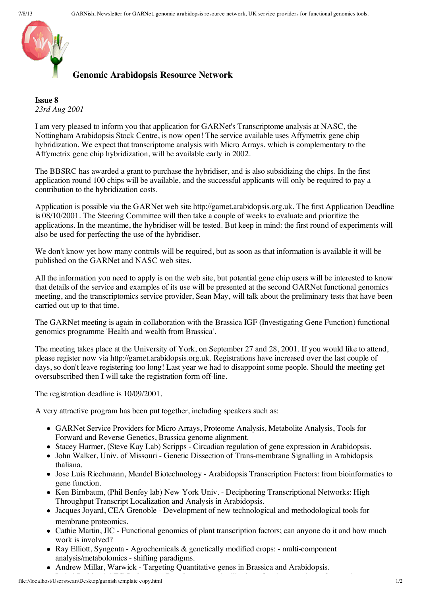

## **Genomic Arabidopsis Resource Network**

**Issue 8** *23rd Aug 2001*

I am very pleased to inform you that application for GARNet's Transcriptome analysis at NASC, the Nottingham Arabidopsis Stock Centre, is now open! The service available uses Affymetrix gene chip hybridization. We expect that transcriptome analysis with Micro Arrays, which is complementary to the Affymetrix gene chip hybridization, will be available early in 2002.

The BBSRC has awarded a grant to purchase the hybridiser, and is also subsidizing the chips. In the first application round 100 chips will be available, and the successful applicants will only be required to pay a contribution to the hybridization costs.

Application is possible via the GARNet web site http://garnet.arabidopsis.org.uk. The first Application Deadline is 08/10/2001. The Steering Committee will then take a couple of weeks to evaluate and prioritize the applications. In the meantime, the hybridiser will be tested. But keep in mind: the first round of experiments will also be used for perfecting the use of the hybridiser.

We don't know yet how many controls will be required, but as soon as that information is available it will be published on the GARNet and NASC web sites.

All the information you need to apply is on the web site, but potential gene chip users will be interested to know that details of the service and examples of its use will be presented at the second GARNet functional genomics meeting, and the transcriptomics service provider, Sean May, will talk about the preliminary tests that have been carried out up to that time.

The GARNet meeting is again in collaboration with the Brassica IGF (Investigating Gene Function) functional genomics programme 'Health and wealth from Brassica'.

The meeting takes place at the University of York, on September 27 and 28, 2001. If you would like to attend, please register now via http://garnet.arabidopsis.org.uk. Registrations have increased over the last couple of days, so don't leave registering too long! Last year we had to disappoint some people. Should the meeting get oversubscribed then I will take the registration form off-line.

The registration deadline is 10/09/2001.

A very attractive program has been put together, including speakers such as:

- GARNet Service Providers for Micro Arrays, Proteome Analysis, Metabolite Analysis, Tools for Forward and Reverse Genetics, Brassica genome alignment.
- Stacey Harmer, (Steve Kay Lab) Scripps Circadian regulation of gene expression in Arabidopsis.
- John Walker, Univ. of Missouri Genetic Dissection of Trans-membrane Signalling in Arabidopsis thaliana.
- Jose Luis Riechmann, Mendel Biotechnology Arabidopsis Transcription Factors: from bioinformatics to gene function.
- Ken Birnbaum, (Phil Benfey lab) New York Univ. Deciphering Transcriptional Networks: High Throughput Transcript Localization and Analysis in Arabidopsis.
- Jacques Joyard, CEA Grenoble Development of new technological and methodological tools for membrane proteomics.
- Cathie Martin, JIC Functional genomics of plant transcription factors; can anyone do it and how much work is involved?
- Ray Elliott, Syngenta Agrochemicals & genetically modified crops: multi-component analysis/metabolomics - shifting paradigms.
- Andrew Millar, Warwick Targeting Quantitative genes in Brassica and Arabidopsis.